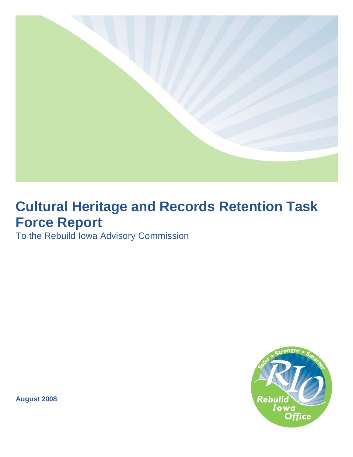

# **Cultural Heritage and Records Retention Task Force Report**

To the Rebuild Iowa Advisory Commission



**August 2008**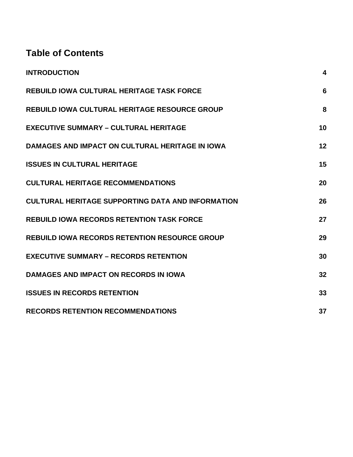# **Table of Contents**

| <b>INTRODUCTION</b>                                      | 4  |
|----------------------------------------------------------|----|
| <b>REBUILD IOWA CULTURAL HERITAGE TASK FORCE</b>         | 6  |
| <b>REBUILD IOWA CULTURAL HERITAGE RESOURCE GROUP</b>     | 8  |
| <b>EXECUTIVE SUMMARY - CULTURAL HERITAGE</b>             | 10 |
| DAMAGES AND IMPACT ON CULTURAL HERITAGE IN IOWA          | 12 |
| <b>ISSUES IN CULTURAL HERITAGE</b>                       | 15 |
| <b>CULTURAL HERITAGE RECOMMENDATIONS</b>                 | 20 |
| <b>CULTURAL HERITAGE SUPPORTING DATA AND INFORMATION</b> | 26 |
| <b>REBUILD IOWA RECORDS RETENTION TASK FORCE</b>         | 27 |
| <b>REBUILD IOWA RECORDS RETENTION RESOURCE GROUP</b>     | 29 |
| <b>EXECUTIVE SUMMARY - RECORDS RETENTION</b>             | 30 |
| <b>DAMAGES AND IMPACT ON RECORDS IN IOWA</b>             | 32 |
| <b>ISSUES IN RECORDS RETENTION</b>                       | 33 |
| <b>RECORDS RETENTION RECOMMENDATIONS</b>                 | 37 |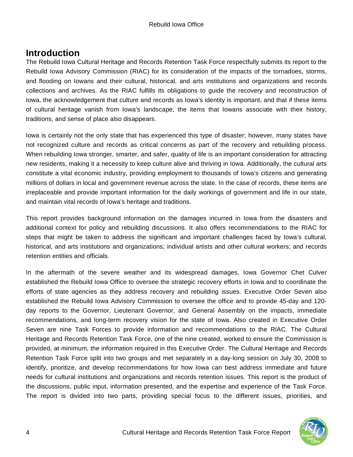## **Introduction**

The Rebuild Iowa Cultural Heritage and Records Retention Task Force respectfully submits its report to the Rebuild Iowa Advisory Commission (RIAC) for its consideration of the impacts of the tornadoes, storms, and flooding on Iowans and their cultural, historical, and arts institutions and organizations and records collections and archives. As the RIAC fulfills its obligations to guide the recovery and reconstruction of Iowa, the acknowledgement that culture and records as Iowa's identity is important, and that if these items of cultural heritage vanish from Iowa's landscape, the items that Iowans associate with their history, traditions, and sense of place also disappears.

Iowa is certainly not the only state that has experienced this type of disaster; however, many states have not recognized culture and records as critical concerns as part of the recovery and rebuilding process. When rebuilding Iowa stronger, smarter, and safer, quality of life is an important consideration for attracting new residents, making it a necessity to keep culture alive and thriving in Iowa. Additionally, the cultural arts constitute a vital economic industry, providing employment to thousands of Iowa's citizens and generating millions of dollars in local and government revenue across the state. In the case of records, these items are irreplaceable and provide important information for the daily workings of government and life in our state, and maintain vital records of Iowa's heritage and traditions.

This report provides background information on the damages incurred in Iowa from the disasters and additional context for policy and rebuilding discussions. It also offers recommendations to the RIAC for steps that might be taken to address the significant and important challenges faced by Iowa's cultural, historical, and arts institutions and organizations; individual artists and other cultural workers; and records retention entities and officials.

In the aftermath of the severe weather and its widespread damages, Iowa Governor Chet Culver established the Rebuild Iowa Office to oversee the strategic recovery efforts in Iowa and to coordinate the efforts of state agencies as they address recovery and rebuilding issues. Executive Order Seven also established the Rebuild Iowa Advisory Commission to oversee the office and to provide 45-day and 120 day reports to the Governor, Lieutenant Governor, and General Assembly on the impacts, immediate recommendations, and long-term recovery vision for the state of Iowa. Also created in Executive Order Seven are nine Task Forces to provide information and recommendations to the RIAC. The Cultural Heritage and Records Retention Task Force, one of the nine created, worked to ensure the Commission is provided, at minimum, the information required in this Executive Order. The Cultural Heritage and Records Retention Task Force split into two groups and met separately in a day-long session on July 30, 2008 to identify, prioritize, and develop recommendations for how Iowa can best address immediate and future needs for cultural institutions and organizations and records retention issues. This report is the product of the discussions, public input, information presented, and the expertise and experience of the Task Force. The report is divided into two parts, providing special focus to the different issues, priorities, and

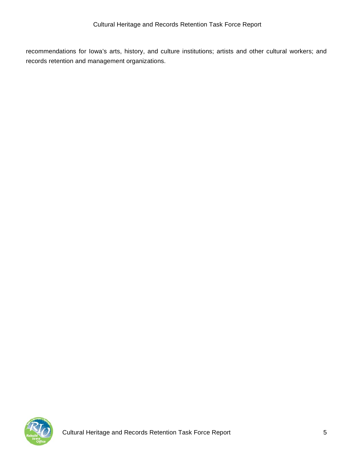recommendations for Iowa's arts, history, and culture institutions; artists and other cultural workers; and records retention and management organizations.

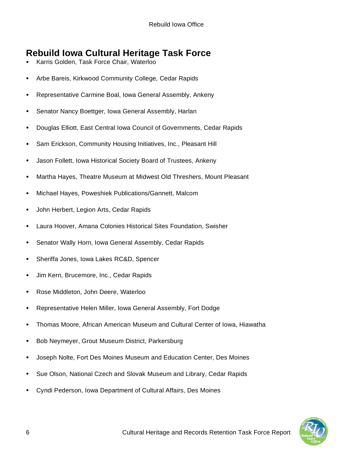# **Rebuild Iowa Cultural Heritage Task Force**

- Karris Golden, Task Force Chair, Waterloo
- Arbe Bareis, Kirkwood Community College, Cedar Rapids
- Representative Carmine Boal, Iowa General Assembly, Ankeny
- Senator Nancy Boettger, Iowa General Assembly, Harlan
- Douglas Elliott, East Central Iowa Council of Governments, Cedar Rapids
- Sam Erickson, Community Housing Initiatives, Inc., Pleasant Hill
- Jason Follett, Iowa Historical Society Board of Trustees, Ankeny
- Martha Hayes, Theatre Museum at Midwest Old Threshers, Mount Pleasant
- Michael Hayes, Poweshiek Publications/Gannett, Malcom
- John Herbert, Legion Arts, Cedar Rapids
- Laura Hoover, Amana Colonies Historical Sites Foundation, Swisher
- Senator Wally Horn, Iowa General Assembly, Cedar Rapids
- Sheriffa Jones, Iowa Lakes RC&D, Spencer
- Jim Kern, Brucemore, Inc., Cedar Rapids
- Rose Middleton, John Deere, Waterloo
- Representative Helen Miller, Iowa General Assembly, Fort Dodge
- Thomas Moore, African American Museum and Cultural Center of Iowa, Hiawatha
- Bob Neymeyer, Grout Museum District, Parkersburg
- Joseph Nolte, Fort Des Moines Museum and Education Center, Des Moines
- Sue Olson, National Czech and Slovak Museum and Library, Cedar Rapids
- Cyndi Pederson, Iowa Department of Cultural Affairs, Des Moines

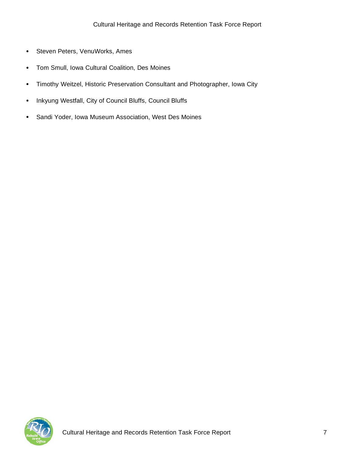- Steven Peters, VenuWorks, Ames
- Tom Smull, Iowa Cultural Coalition, Des Moines
- Timothy Weitzel, Historic Preservation Consultant and Photographer, Iowa City
- Inkyung Westfall, City of Council Bluffs, Council Bluffs
- Sandi Yoder, Iowa Museum Association, West Des Moines

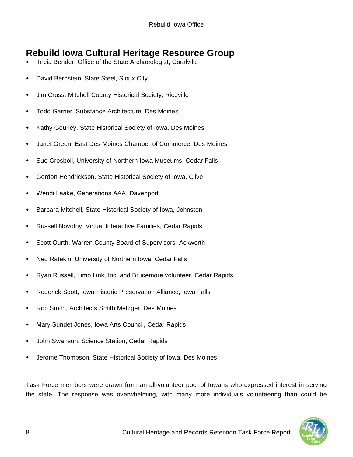# **Rebuild Iowa Cultural Heritage Resource Group**

- Tricia Bender, Office of the State Archaeologist, Coralville
- David Bernstein, State Steel, Sioux City
- Jim Cross, Mitchell County Historical Society, Riceville
- Todd Garner, Substance Architecture, Des Moines
- Kathy Gourley, State Historical Society of Iowa, Des Moines
- Janet Green, East Des Moines Chamber of Commerce, Des Moines
- Sue Grosboll, University of Northern Iowa Museums, Cedar Falls
- Gordon Hendrickson, State Historical Society of Iowa, Clive
- Wendi Laake, Generations AAA, Davenport
- Barbara Mitchell, State Historical Society of Iowa, Johnston
- Russell Novotny, Virtual Interactive Families, Cedar Rapids
- Scott Ourth, Warren County Board of Supervisors, Ackworth
- Ned Ratekin, University of Northern Iowa, Cedar Falls
- Ryan Russell, Limo Link, Inc. and Brucemore volunteer, Cedar Rapids
- Roderick Scott, Iowa Historic Preservation Alliance, Iowa Falls
- Rob Smith, Architects Smith Metzger, Des Moines
- Mary Sundet Jones, Iowa Arts Council, Cedar Rapids
- John Swanson, Science Station, Cedar Rapids
- Jerome Thompson, State Historical Society of Iowa, Des Moines

Task Force members were drawn from an all-volunteer pool of Iowans who expressed interest in serving the state. The response was overwhelming, with many more individuals volunteering than could be

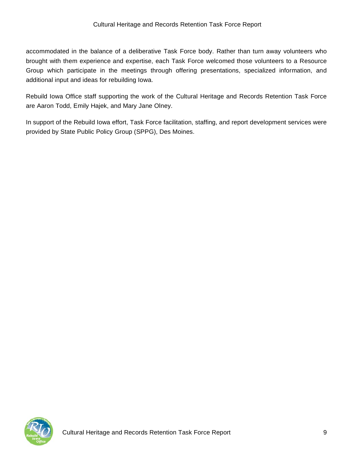accommodated in the balance of a deliberative Task Force body. Rather than turn away volunteers who brought with them experience and expertise, each Task Force welcomed those volunteers to a Resource Group which participate in the meetings through offering presentations, specialized information, and additional input and ideas for rebuilding Iowa.

Rebuild Iowa Office staff supporting the work of the Cultural Heritage and Records Retention Task Force are Aaron Todd, Emily Hajek, and Mary Jane Olney.

In support of the Rebuild Iowa effort, Task Force facilitation, staffing, and report development services were provided by State Public Policy Group (SPPG), Des Moines.

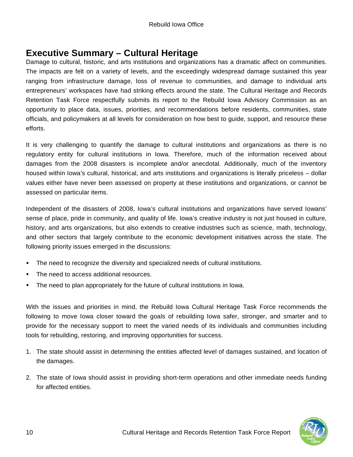## **Executive Summary – Cultural Heritage**

Damage to cultural, historic, and arts institutions and organizations has a dramatic affect on communities. The impacts are felt on a variety of levels, and the exceedingly widespread damage sustained this year ranging from infrastructure damage, loss of revenue to communities, and damage to individual arts entrepreneurs' workspaces have had striking effects around the state. The Cultural Heritage and Records Retention Task Force respectfully submits its report to the Rebuild Iowa Advisory Commission as an opportunity to place data, issues, priorities, and recommendations before residents, communities, state officials, and policymakers at all levels for consideration on how best to guide, support, and resource these efforts.

It is very challenging to quantify the damage to cultural institutions and organizations as there is no regulatory entity for cultural institutions in Iowa. Therefore, much of the information received about damages from the 2008 disasters is incomplete and/or anecdotal. Additionally, much of the inventory housed within Iowa's cultural, historical, and arts institutions and organizations is literally priceless – dollar values either have never been assessed on property at these institutions and organizations, or cannot be assessed on particular items.

Independent of the disasters of 2008, Iowa's cultural institutions and organizations have served Iowans' sense of place, pride in community, and quality of life. Iowa's creative industry is not just housed in culture, history, and arts organizations, but also extends to creative industries such as science, math, technology, and other sectors that largely contribute to the economic development initiatives across the state. The following priority issues emerged in the discussions:

- The need to recognize the diversity and specialized needs of cultural institutions.
- The need to access additional resources.
- The need to plan appropriately for the future of cultural institutions in Iowa.

With the issues and priorities in mind, the Rebuild Iowa Cultural Heritage Task Force recommends the following to move Iowa closer toward the goals of rebuilding Iowa safer, stronger, and smarter and to provide for the necessary support to meet the varied needs of its individuals and communities including tools for rebuilding, restoring, and improving opportunities for success.

- 1. The state should assist in determining the entities affected level of damages sustained, and location of the damages.
- 2. The state of Iowa should assist in providing short-term operations and other immediate needs funding for affected entities.

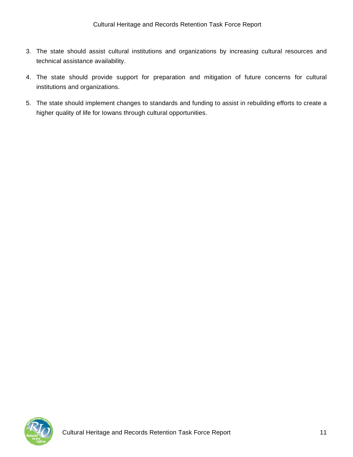- 3. The state should assist cultural institutions and organizations by increasing cultural resources and technical assistance availability.
- 4. The state should provide support for preparation and mitigation of future concerns for cultural institutions and organizations.
- 5. The state should implement changes to standards and funding to assist in rebuilding efforts to create a higher quality of life for Iowans through cultural opportunities.

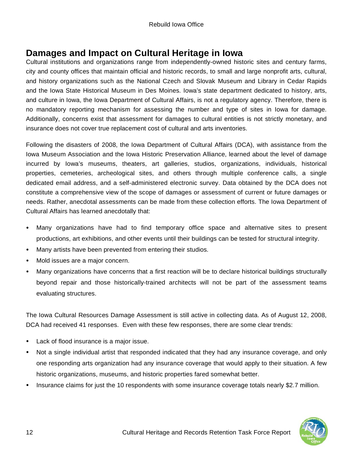# **Damages and Impact on Cultural Heritage in Iowa**

Cultural institutions and organizations range from independently-owned historic sites and century farms, city and county offices that maintain official and historic records, to small and large nonprofit arts, cultural, and history organizations such as the National Czech and Slovak Museum and Library in Cedar Rapids and the Iowa State Historical Museum in Des Moines. Iowa's state department dedicated to history, arts, and culture in Iowa, the Iowa Department of Cultural Affairs, is not a regulatory agency. Therefore, there is no mandatory reporting mechanism for assessing the number and type of sites in Iowa for damage. Additionally, concerns exist that assessment for damages to cultural entities is not strictly monetary, and insurance does not cover true replacement cost of cultural and arts inventories.

Following the disasters of 2008, the Iowa Department of Cultural Affairs (DCA), with assistance from the Iowa Museum Association and the Iowa Historic Preservation Alliance, learned about the level of damage incurred by Iowa's museums, theaters, art galleries, studios, organizations, individuals, historical properties, cemeteries, archeological sites, and others through multiple conference calls, a single dedicated email address, and a self-administered electronic survey. Data obtained by the DCA does not constitute a comprehensive view of the scope of damages or assessment of current or future damages or needs. Rather, anecdotal assessments can be made from these collection efforts. The Iowa Department of Cultural Affairs has learned anecdotally that:

- Many organizations have had to find temporary office space and alternative sites to present productions, art exhibitions, and other events until their buildings can be tested for structural integrity.
- Many artists have been prevented from entering their studios.
- Mold issues are a major concern.
- Many organizations have concerns that a first reaction will be to declare historical buildings structurally beyond repair and those historically-trained architects will not be part of the assessment teams evaluating structures.

The Iowa Cultural Resources Damage Assessment is still active in collecting data. As of August 12, 2008, DCA had received 41 responses. Even with these few responses, there are some clear trends:

- Lack of flood insurance is a major issue.
- Not a single individual artist that responded indicated that they had any insurance coverage, and only one responding arts organization had any insurance coverage that would apply to their situation. A few historic organizations, museums, and historic properties fared somewhat better.
- Insurance claims for just the 10 respondents with some insurance coverage totals nearly \$2.7 million.

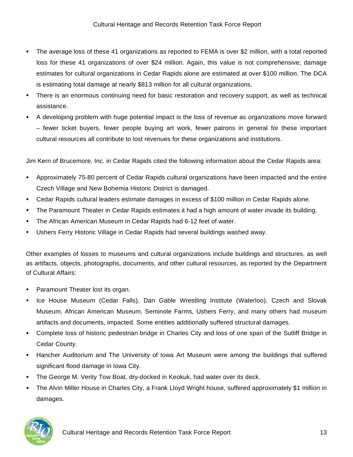- The average loss of these 41 organizations as reported to FEMA is over \$2 million, with a total reported loss for these 41 organizations of over \$24 million. Again, this value is not comprehensive; damage estimates for cultural organizations in Cedar Rapids alone are estimated at over \$100 million. The DCA is estimating total damage at nearly \$813 million for all cultural organizations.
- There is an enormous continuing need for basic restoration and recovery support, as well as technical assistance.
- A developing problem with huge potential impact is the loss of revenue as organizations move forward – fewer ticket buyers, fewer people buying art work, fewer patrons in general for these important cultural resources all contribute to lost revenues for these organizations and institutions.

Jim Kern of Brucemore, Inc. in Cedar Rapids cited the following information about the Cedar Rapids area:

- Approximately 75-80 percent of Cedar Rapids cultural organizations have been impacted and the entire Czech Village and New Bohemia Historic District is damaged.
- Cedar Rapids cultural leaders estimate damages in excess of \$100 million in Cedar Rapids alone.
- The Paramount Theater in Cedar Rapids estimates it had a high amount of water invade its building.
- The African American Museum in Cedar Rapids had 6-12 feet of water.
- Ushers Ferry Historic Village in Cedar Rapids had several buildings washed away.

Other examples of losses to museums and cultural organizations include buildings and structures, as well as artifacts, objects, photographs, documents, and other cultural resources, as reported by the Department of Cultural Affairs:

- Paramount Theater lost its organ.
- Ice House Museum (Cedar Falls), Dan Gable Wrestling Institute (Waterloo), Czech and Slovak Museum, African American Museum, Seminole Farms, Ushers Ferry, and many others had museum artifacts and documents, impacted. Some entities additionally suffered structural damages.
- Complete loss of historic pedestrian bridge in Charles City and loss of one span of the Sutliff Bridge in Cedar County.
- Hancher Auditorium and The University of Iowa Art Museum were among the buildings that suffered significant flood damage in Iowa City.
- The George M. Verity Tow Boat, dry-docked in Keokuk, had water over its deck.
- The Alvin Miller House in Charles City, a Frank Lloyd Wright house, suffered approximately \$1 million in damages.

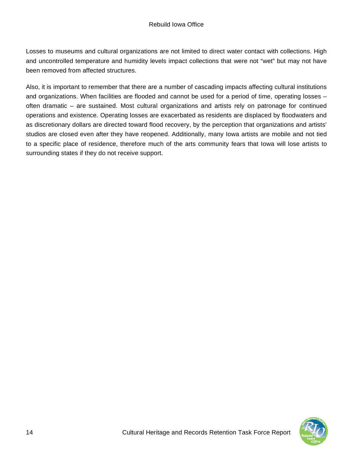Losses to museums and cultural organizations are not limited to direct water contact with collections. High and uncontrolled temperature and humidity levels impact collections that were not "wet" but may not have been removed from affected structures.

Also, it is important to remember that there are a number of cascading impacts affecting cultural institutions and organizations. When facilities are flooded and cannot be used for a period of time, operating losses – often dramatic – are sustained. Most cultural organizations and artists rely on patronage for continued operations and existence. Operating losses are exacerbated as residents are displaced by floodwaters and as discretionary dollars are directed toward flood recovery, by the perception that organizations and artists' studios are closed even after they have reopened. Additionally, many Iowa artists are mobile and not tied to a specific place of residence, therefore much of the arts community fears that Iowa will lose artists to surrounding states if they do not receive support.

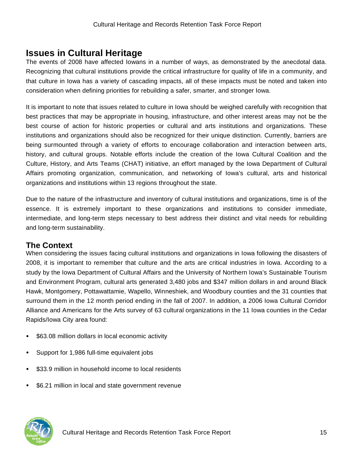### **Issues in Cultural Heritage**

The events of 2008 have affected Iowans in a number of ways, as demonstrated by the anecdotal data. Recognizing that cultural institutions provide the critical infrastructure for quality of life in a community, and that culture in Iowa has a variety of cascading impacts, all of these impacts must be noted and taken into consideration when defining priorities for rebuilding a safer, smarter, and stronger Iowa.

It is important to note that issues related to culture in Iowa should be weighed carefully with recognition that best practices that may be appropriate in housing, infrastructure, and other interest areas may not be the best course of action for historic properties or cultural and arts institutions and organizations. These institutions and organizations should also be recognized for their unique distinction. Currently, barriers are being surmounted through a variety of efforts to encourage collaboration and interaction between arts, history, and cultural groups. Notable efforts include the creation of the Iowa Cultural Coalition and the Culture, History, and Arts Teams (CHAT) initiative, an effort managed by the Iowa Department of Cultural Affairs promoting organization, communication, and networking of Iowa's cultural, arts and historical organizations and institutions within 13 regions throughout the state.

Due to the nature of the infrastructure and inventory of cultural institutions and organizations, time is of the essence. It is extremely important to these organizations and institutions to consider immediate, intermediate, and long-term steps necessary to best address their distinct and vital needs for rebuilding and long-term sustainability.

### **The Context**

When considering the issues facing cultural institutions and organizations in Iowa following the disasters of 2008, it is important to remember that culture and the arts are critical industries in Iowa. According to a study by the Iowa Department of Cultural Affairs and the University of Northern Iowa's Sustainable Tourism and Environment Program, cultural arts generated 3,480 jobs and \$347 million dollars in and around Black Hawk, Montgomery, Pottawattamie, Wapello, Winneshiek, and Woodbury counties and the 31 counties that surround them in the 12 month period ending in the fall of 2007. In addition, a 2006 Iowa Cultural Corridor Alliance and Americans for the Arts survey of 63 cultural organizations in the 11 Iowa counties in the Cedar Rapids/Iowa City area found:

- \$63.08 million dollars in local economic activity
- Support for 1,986 full-time equivalent jobs
- \$33.9 million in household income to local residents
- \$6.21 million in local and state government revenue

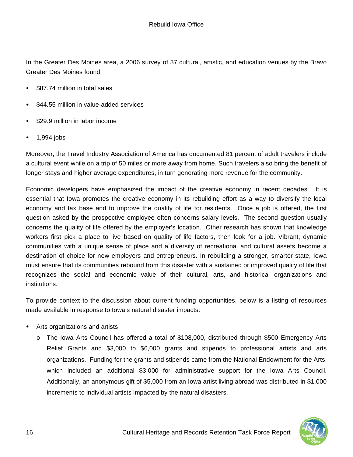In the Greater Des Moines area, a 2006 survey of 37 cultural, artistic, and education venues by the Bravo Greater Des Moines found:

- \$87.74 million in total sales
- \$44.55 million in value-added services
- \$29.9 million in labor income
- 1,994 jobs

Moreover, the Travel Industry Association of America has documented 81 percent of adult travelers include a cultural event while on a trip of 50 miles or more away from home. Such travelers also bring the benefit of longer stays and higher average expenditures, in turn generating more revenue for the community.

Economic developers have emphasized the impact of the creative economy in recent decades. It is essential that Iowa promotes the creative economy in its rebuilding effort as a way to diversify the local economy and tax base and to improve the quality of life for residents. Once a job is offered, the first question asked by the prospective employee often concerns salary levels. The second question usually concerns the quality of life offered by the employer's location. Other research has shown that knowledge workers first pick a place to live based on quality of life factors, then look for a job. Vibrant, dynamic communities with a unique sense of place and a diversity of recreational and cultural assets become a destination of choice for new employers and entrepreneurs. In rebuilding a stronger, smarter state, Iowa must ensure that its communities rebound from this disaster with a sustained or improved quality of life that recognizes the social and economic value of their cultural, arts, and historical organizations and institutions.

To provide context to the discussion about current funding opportunities, below is a listing of resources made available in response to Iowa's natural disaster impacts:

- Arts organizations and artists
	- o The Iowa Arts Council has offered a total of \$108,000, distributed through \$500 Emergency Arts Relief Grants and \$3,000 to \$6,000 grants and stipends to professional artists and arts organizations. Funding for the grants and stipends came from the National Endowment for the Arts, which included an additional \$3,000 for administrative support for the Iowa Arts Council. Additionally, an anonymous gift of \$5,000 from an Iowa artist living abroad was distributed in \$1,000 increments to individual artists impacted by the natural disasters.

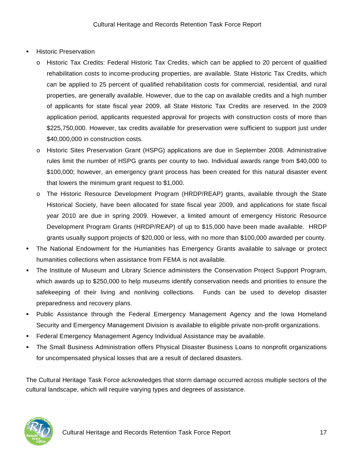- Historic Preservation
	- o Historic Tax Credits: Federal Historic Tax Credits, which can be applied to 20 percent of qualified rehabilitation costs to income-producing properties, are available. State Historic Tax Credits, which can be applied to 25 percent of qualified rehabilitation costs for commercial, residential, and rural properties, are generally available. However, due to the cap on available credits and a high number of applicants for state fiscal year 2009, all State Historic Tax Credits are reserved. In the 2009 application period, applicants requested approval for projects with construction costs of more than \$225,750,000. However, tax credits available for preservation were sufficient to support just under \$40,000,000 in construction costs.
	- o Historic Sites Preservation Grant (HSPG) applications are due in September 2008. Administrative rules limit the number of HSPG grants per county to two. Individual awards range from \$40,000 to \$100,000; however, an emergency grant process has been created for this natural disaster event that lowers the minimum grant request to \$1,000.
	- o The Historic Resource Development Program (HRDP/REAP) grants, available through the State Historical Society, have been allocated for state fiscal year 2009, and applications for state fiscal year 2010 are due in spring 2009. However, a limited amount of emergency Historic Resource Development Program Grants (HRDP/REAP) of up to \$15,000 have been made available. HRDP grants usually support projects of \$20,000 or less, with no more than \$100,000 awarded per county.
- The National Endowment for the Humanities has Emergency Grants available to salvage or protect humanities collections when assistance from FEMA is not available.
- The Institute of Museum and Library Science administers the Conservation Project Support Program, which awards up to \$250,000 to help museums identify conservation needs and priorities to ensure the safekeeping of their living and nonliving collections. Funds can be used to develop disaster preparedness and recovery plans.
- Public Assistance through the Federal Emergency Management Agency and the Iowa Homeland Security and Emergency Management Division is available to eligible private non-profit organizations.
- Federal Emergency Management Agency Individual Assistance may be available.
- The Small Business Administration offers Physical Disaster Business Loans to nonprofit organizations for uncompensated physical losses that are a result of declared disasters.

The Cultural Heritage Task Force acknowledges that storm damage occurred across multiple sectors of the cultural landscape, which will require varying types and degrees of assistance.

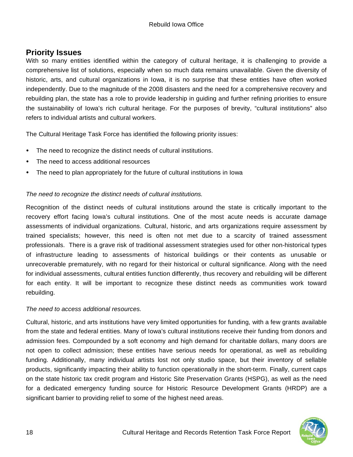### **Priority Issues**

With so many entities identified within the category of cultural heritage, it is challenging to provide a comprehensive list of solutions, especially when so much data remains unavailable. Given the diversity of historic, arts, and cultural organizations in Iowa, it is no surprise that these entities have often worked independently. Due to the magnitude of the 2008 disasters and the need for a comprehensive recovery and rebuilding plan, the state has a role to provide leadership in guiding and further refining priorities to ensure the sustainability of Iowa's rich cultural heritage. For the purposes of brevity, "cultural institutions" also refers to individual artists and cultural workers.

The Cultural Heritage Task Force has identified the following priority issues:

- The need to recognize the distinct needs of cultural institutions.
- The need to access additional resources
- The need to plan appropriately for the future of cultural institutions in Iowa

#### *The need to recognize the distinct needs of cultural institutions.*

Recognition of the distinct needs of cultural institutions around the state is critically important to the recovery effort facing Iowa's cultural institutions. One of the most acute needs is accurate damage assessments of individual organizations. Cultural, historic, and arts organizations require assessment by trained specialists; however, this need is often not met due to a scarcity of trained assessment professionals. There is a grave risk of traditional assessment strategies used for other non-historical types of infrastructure leading to assessments of historical buildings or their contents as unusable or unrecoverable prematurely, with no regard for their historical or cultural significance. Along with the need for individual assessments, cultural entities function differently, thus recovery and rebuilding will be different for each entity. It will be important to recognize these distinct needs as communities work toward rebuilding.

#### *The need to access additional resources.*

Cultural, historic, and arts institutions have very limited opportunities for funding, with a few grants available from the state and federal entities. Many of Iowa's cultural institutions receive their funding from donors and admission fees. Compounded by a soft economy and high demand for charitable dollars, many doors are not open to collect admission; these entities have serious needs for operational, as well as rebuilding funding. Additionally, many individual artists lost not only studio space, but their inventory of sellable products, significantly impacting their ability to function operationally in the short-term. Finally, current caps on the state historic tax credit program and Historic Site Preservation Grants (HSPG), as well as the need for a dedicated emergency funding source for Historic Resource Development Grants (HRDP) are a significant barrier to providing relief to some of the highest need areas.

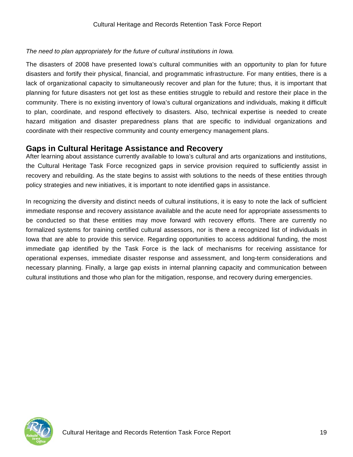#### *The need to plan appropriately for the future of cultural institutions in Iowa.*

The disasters of 2008 have presented Iowa's cultural communities with an opportunity to plan for future disasters and fortify their physical, financial, and programmatic infrastructure. For many entities, there is a lack of organizational capacity to simultaneously recover and plan for the future; thus, it is important that planning for future disasters not get lost as these entities struggle to rebuild and restore their place in the community. There is no existing inventory of Iowa's cultural organizations and individuals, making it difficult to plan, coordinate, and respond effectively to disasters. Also, technical expertise is needed to create hazard mitigation and disaster preparedness plans that are specific to individual organizations and coordinate with their respective community and county emergency management plans.

### **Gaps in Cultural Heritage Assistance and Recovery**

After learning about assistance currently available to Iowa's cultural and arts organizations and institutions, the Cultural Heritage Task Force recognized gaps in service provision required to sufficiently assist in recovery and rebuilding. As the state begins to assist with solutions to the needs of these entities through policy strategies and new initiatives, it is important to note identified gaps in assistance.

In recognizing the diversity and distinct needs of cultural institutions, it is easy to note the lack of sufficient immediate response and recovery assistance available and the acute need for appropriate assessments to be conducted so that these entities may move forward with recovery efforts. There are currently no formalized systems for training certified cultural assessors, nor is there a recognized list of individuals in Iowa that are able to provide this service. Regarding opportunities to access additional funding, the most immediate gap identified by the Task Force is the lack of mechanisms for receiving assistance for operational expenses, immediate disaster response and assessment, and long-term considerations and necessary planning. Finally, a large gap exists in internal planning capacity and communication between cultural institutions and those who plan for the mitigation, response, and recovery during emergencies.

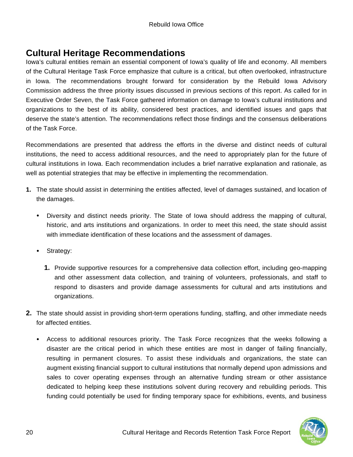# **Cultural Heritage Recommendations**

Iowa's cultural entities remain an essential component of Iowa's quality of life and economy. All members of the Cultural Heritage Task Force emphasize that culture is a critical, but often overlooked, infrastructure in Iowa. The recommendations brought forward for consideration by the Rebuild Iowa Advisory Commission address the three priority issues discussed in previous sections of this report. As called for in Executive Order Seven, the Task Force gathered information on damage to Iowa's cultural institutions and organizations to the best of its ability, considered best practices, and identified issues and gaps that deserve the state's attention. The recommendations reflect those findings and the consensus deliberations of the Task Force.

Recommendations are presented that address the efforts in the diverse and distinct needs of cultural institutions, the need to access additional resources, and the need to appropriately plan for the future of cultural institutions in Iowa. Each recommendation includes a brief narrative explanation and rationale, as well as potential strategies that may be effective in implementing the recommendation.

- **1.** The state should assist in determining the entities affected, level of damages sustained, and location of the damages.
	- Diversity and distinct needs priority. The State of Iowa should address the mapping of cultural, historic, and arts institutions and organizations. In order to meet this need, the state should assist with immediate identification of these locations and the assessment of damages.
	- Strategy:
		- **1.** Provide supportive resources for a comprehensive data collection effort, including geo-mapping and other assessment data collection, and training of volunteers, professionals, and staff to respond to disasters and provide damage assessments for cultural and arts institutions and organizations.
- **2.** The state should assist in providing short-term operations funding, staffing, and other immediate needs for affected entities.
	- Access to additional resources priority. The Task Force recognizes that the weeks following a disaster are the critical period in which these entities are most in danger of failing financially, resulting in permanent closures. To assist these individuals and organizations, the state can augment existing financial support to cultural institutions that normally depend upon admissions and sales to cover operating expenses through an alternative funding stream or other assistance dedicated to helping keep these institutions solvent during recovery and rebuilding periods. This funding could potentially be used for finding temporary space for exhibitions, events, and business

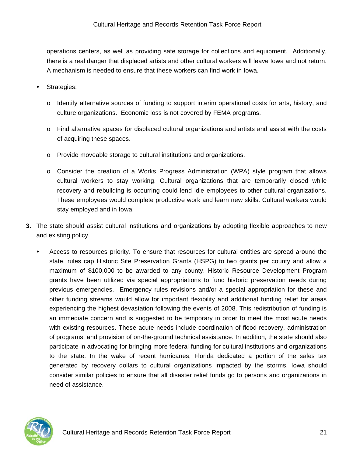operations centers, as well as providing safe storage for collections and equipment. Additionally, there is a real danger that displaced artists and other cultural workers will leave Iowa and not return. A mechanism is needed to ensure that these workers can find work in Iowa.

- Strategies:
	- o Identify alternative sources of funding to support interim operational costs for arts, history, and culture organizations. Economic loss is not covered by FEMA programs.
	- o Find alternative spaces for displaced cultural organizations and artists and assist with the costs of acquiring these spaces.
	- o Provide moveable storage to cultural institutions and organizations.
	- o Consider the creation of a Works Progress Administration (WPA) style program that allows cultural workers to stay working. Cultural organizations that are temporarily closed while recovery and rebuilding is occurring could lend idle employees to other cultural organizations. These employees would complete productive work and learn new skills. Cultural workers would stay employed and in Iowa.
- **3.** The state should assist cultural institutions and organizations by adopting flexible approaches to new and existing policy.
	- Access to resources priority. To ensure that resources for cultural entities are spread around the state, rules cap Historic Site Preservation Grants (HSPG) to two grants per county and allow a maximum of \$100,000 to be awarded to any county. Historic Resource Development Program grants have been utilized via special appropriations to fund historic preservation needs during previous emergencies. Emergency rules revisions and/or a special appropriation for these and other funding streams would allow for important flexibility and additional funding relief for areas experiencing the highest devastation following the events of 2008. This redistribution of funding is an immediate concern and is suggested to be temporary in order to meet the most acute needs with existing resources. These acute needs include coordination of flood recovery, administration of programs, and provision of on-the-ground technical assistance. In addition, the state should also participate in advocating for bringing more federal funding for cultural institutions and organizations to the state. In the wake of recent hurricanes, Florida dedicated a portion of the sales tax generated by recovery dollars to cultural organizations impacted by the storms. Iowa should consider similar policies to ensure that all disaster relief funds go to persons and organizations in need of assistance.

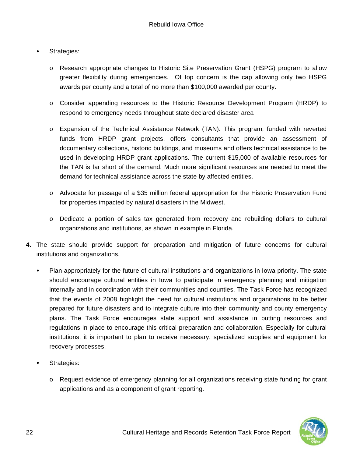- Strategies:
	- o Research appropriate changes to Historic Site Preservation Grant (HSPG) program to allow greater flexibility during emergencies. Of top concern is the cap allowing only two HSPG awards per county and a total of no more than \$100,000 awarded per county.
	- o Consider appending resources to the Historic Resource Development Program (HRDP) to respond to emergency needs throughout state declared disaster area
	- o Expansion of the Technical Assistance Network (TAN). This program, funded with reverted funds from HRDP grant projects, offers consultants that provide an assessment of documentary collections, historic buildings, and museums and offers technical assistance to be used in developing HRDP grant applications. The current \$15,000 of available resources for the TAN is far short of the demand. Much more significant resources are needed to meet the demand for technical assistance across the state by affected entities.
	- o Advocate for passage of a \$35 million federal appropriation for the Historic Preservation Fund for properties impacted by natural disasters in the Midwest.
	- o Dedicate a portion of sales tax generated from recovery and rebuilding dollars to cultural organizations and institutions, as shown in example in Florida.
- **4.** The state should provide support for preparation and mitigation of future concerns for cultural institutions and organizations.
	- Plan appropriately for the future of cultural institutions and organizations in Iowa priority. The state should encourage cultural entities in Iowa to participate in emergency planning and mitigation internally and in coordination with their communities and counties. The Task Force has recognized that the events of 2008 highlight the need for cultural institutions and organizations to be better prepared for future disasters and to integrate culture into their community and county emergency plans. The Task Force encourages state support and assistance in putting resources and regulations in place to encourage this critical preparation and collaboration. Especially for cultural institutions, it is important to plan to receive necessary, specialized supplies and equipment for recovery processes.
	- Strategies:
		- o Request evidence of emergency planning for all organizations receiving state funding for grant applications and as a component of grant reporting.

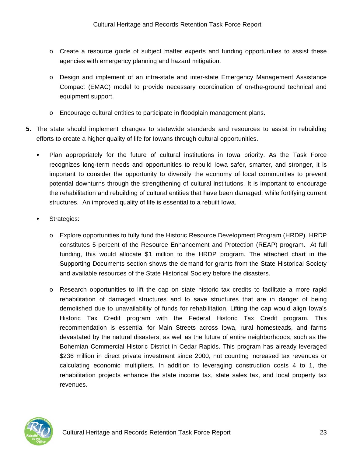- o Create a resource guide of subject matter experts and funding opportunities to assist these agencies with emergency planning and hazard mitigation.
- o Design and implement of an intra-state and inter-state Emergency Management Assistance Compact (EMAC) model to provide necessary coordination of on-the-ground technical and equipment support.
- o Encourage cultural entities to participate in floodplain management plans.
- **5.** The state should implement changes to statewide standards and resources to assist in rebuilding efforts to create a higher quality of life for Iowans through cultural opportunities.
	- Plan appropriately for the future of cultural institutions in Iowa priority. As the Task Force recognizes long-term needs and opportunities to rebuild Iowa safer, smarter, and stronger, it is important to consider the opportunity to diversify the economy of local communities to prevent potential downturns through the strengthening of cultural institutions. It is important to encourage the rehabilitation and rebuilding of cultural entities that have been damaged, while fortifying current structures. An improved quality of life is essential to a rebuilt Iowa.
	- Strategies:
		- o Explore opportunities to fully fund the Historic Resource Development Program (HRDP). HRDP constitutes 5 percent of the Resource Enhancement and Protection (REAP) program. At full funding, this would allocate \$1 million to the HRDP program. The attached chart in the Supporting Documents section shows the demand for grants from the State Historical Society and available resources of the State Historical Society before the disasters.
		- o Research opportunities to lift the cap on state historic tax credits to facilitate a more rapid rehabilitation of damaged structures and to save structures that are in danger of being demolished due to unavailability of funds for rehabilitation. Lifting the cap would align Iowa's Historic Tax Credit program with the Federal Historic Tax Credit program. This recommendation is essential for Main Streets across Iowa, rural homesteads, and farms devastated by the natural disasters, as well as the future of entire neighborhoods, such as the Bohemian Commercial Historic District in Cedar Rapids. This program has already leveraged \$236 million in direct private investment since 2000, not counting increased tax revenues or calculating economic multipliers. In addition to leveraging construction costs 4 to 1, the rehabilitation projects enhance the state income tax, state sales tax, and local property tax revenues.

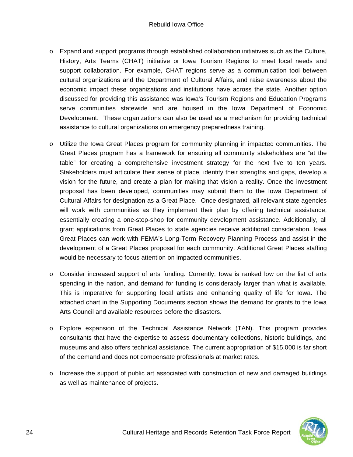- $\circ$  Expand and support programs through established collaboration initiatives such as the Culture, History, Arts Teams (CHAT) initiative or Iowa Tourism Regions to meet local needs and support collaboration. For example, CHAT regions serve as a communication tool between cultural organizations and the Department of Cultural Affairs, and raise awareness about the economic impact these organizations and institutions have across the state. Another option discussed for providing this assistance was Iowa's Tourism Regions and Education Programs serve communities statewide and are housed in the Iowa Department of Economic Development. These organizations can also be used as a mechanism for providing technical assistance to cultural organizations on emergency preparedness training.
- o Utilize the Iowa Great Places program for community planning in impacted communities. The Great Places program has a framework for ensuring all community stakeholders are "at the table" for creating a comprehensive investment strategy for the next five to ten years. Stakeholders must articulate their sense of place, identify their strengths and gaps, develop a vision for the future, and create a plan for making that vision a reality. Once the investment proposal has been developed, communities may submit them to the Iowa Department of Cultural Affairs for designation as a Great Place. Once designated, all relevant state agencies will work with communities as they implement their plan by offering technical assistance, essentially creating a one-stop-shop for community development assistance. Additionally, all grant applications from Great Places to state agencies receive additional consideration. Iowa Great Places can work with FEMA's Long-Term Recovery Planning Process and assist in the development of a Great Places proposal for each community. Additional Great Places staffing would be necessary to focus attention on impacted communities.
- o Consider increased support of arts funding. Currently, Iowa is ranked low on the list of arts spending in the nation, and demand for funding is considerably larger than what is available. This is imperative for supporting local artists and enhancing quality of life for Iowa. The attached chart in the Supporting Documents section shows the demand for grants to the Iowa Arts Council and available resources before the disasters.
- o Explore expansion of the Technical Assistance Network (TAN). This program provides consultants that have the expertise to assess documentary collections, historic buildings, and museums and also offers technical assistance. The current appropriation of \$15,000 is far short of the demand and does not compensate professionals at market rates.
- o Increase the support of public art associated with construction of new and damaged buildings as well as maintenance of projects.

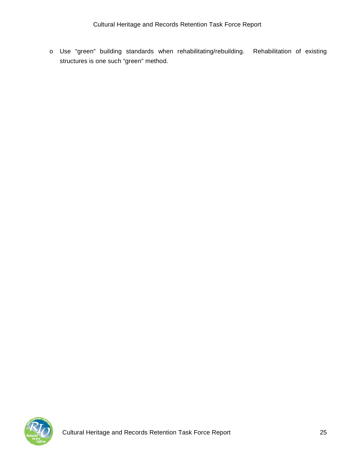o Use "green" building standards when rehabilitating/rebuilding. Rehabilitation of existing structures is one such "green" method.

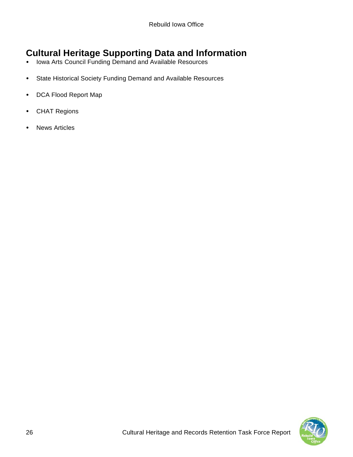# **Cultural Heritage Supporting Data and Information**

- Iowa Arts Council Funding Demand and Available Resources
- State Historical Society Funding Demand and Available Resources
- DCA Flood Report Map
- CHAT Regions
- News Articles

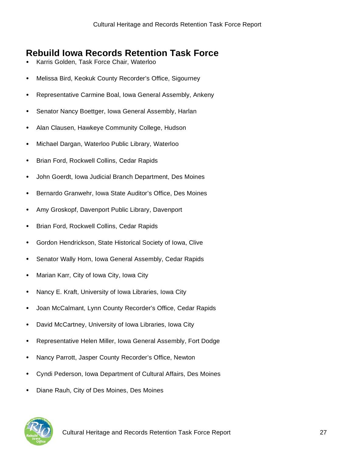# **Rebuild Iowa Records Retention Task Force**

- Karris Golden, Task Force Chair, Waterloo
- Melissa Bird, Keokuk County Recorder's Office, Sigourney
- Representative Carmine Boal, Iowa General Assembly, Ankeny
- Senator Nancy Boettger, Iowa General Assembly, Harlan
- Alan Clausen, Hawkeye Community College, Hudson
- Michael Dargan, Waterloo Public Library, Waterloo
- Brian Ford, Rockwell Collins, Cedar Rapids
- John Goerdt, Iowa Judicial Branch Department, Des Moines
- Bernardo Granwehr, Iowa State Auditor's Office, Des Moines
- Amy Groskopf, Davenport Public Library, Davenport
- Brian Ford, Rockwell Collins, Cedar Rapids
- Gordon Hendrickson, State Historical Society of Iowa, Clive
- Senator Wally Horn, Iowa General Assembly, Cedar Rapids
- Marian Karr, City of Iowa City, Iowa City
- Nancy E. Kraft, University of Iowa Libraries, Iowa City
- Joan McCalmant, Lynn County Recorder's Office, Cedar Rapids
- David McCartney, University of Iowa Libraries, Iowa City
- Representative Helen Miller, Iowa General Assembly, Fort Dodge
- Nancy Parrott, Jasper County Recorder's Office, Newton
- Cyndi Pederson, Iowa Department of Cultural Affairs, Des Moines
- Diane Rauh, City of Des Moines, Des Moines



Cultural Heritage and Records Retention Task Force Report 27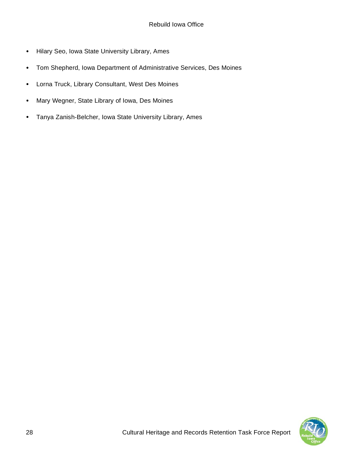- Hilary Seo, Iowa State University Library, Ames
- Tom Shepherd, Iowa Department of Administrative Services, Des Moines
- Lorna Truck, Library Consultant, West Des Moines
- Mary Wegner, State Library of Iowa, Des Moines
- Tanya Zanish-Belcher, Iowa State University Library, Ames

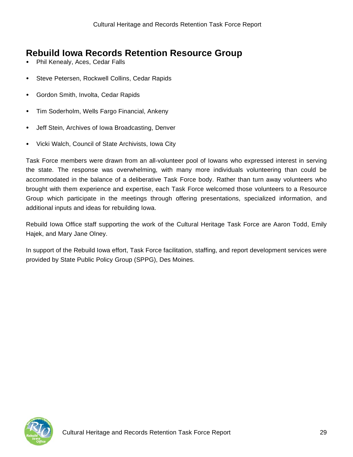# **Rebuild Iowa Records Retention Resource Group**

- Phil Kenealy, Aces, Cedar Falls
- Steve Petersen, Rockwell Collins, Cedar Rapids
- Gordon Smith, Involta, Cedar Rapids
- Tim Soderholm, Wells Fargo Financial, Ankeny
- Jeff Stein, Archives of Iowa Broadcasting, Denver
- Vicki Walch, Council of State Archivists, Iowa City

Task Force members were drawn from an all-volunteer pool of Iowans who expressed interest in serving the state. The response was overwhelming, with many more individuals volunteering than could be accommodated in the balance of a deliberative Task Force body. Rather than turn away volunteers who brought with them experience and expertise, each Task Force welcomed those volunteers to a Resource Group which participate in the meetings through offering presentations, specialized information, and additional inputs and ideas for rebuilding Iowa.

Rebuild Iowa Office staff supporting the work of the Cultural Heritage Task Force are Aaron Todd, Emily Hajek, and Mary Jane Olney.

In support of the Rebuild Iowa effort, Task Force facilitation, staffing, and report development services were provided by State Public Policy Group (SPPG), Des Moines.

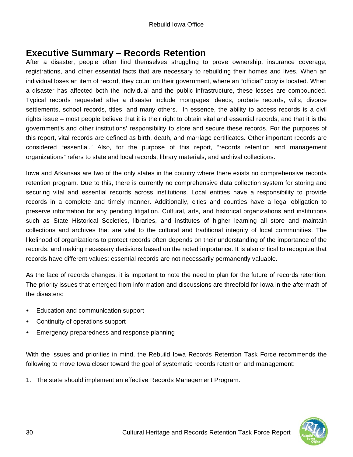### **Executive Summary – Records Retention**

After a disaster, people often find themselves struggling to prove ownership, insurance coverage, registrations, and other essential facts that are necessary to rebuilding their homes and lives. When an individual loses an item of record, they count on their government, where an "official" copy is located. When a disaster has affected both the individual and the public infrastructure, these losses are compounded. Typical records requested after a disaster include mortgages, deeds, probate records, wills, divorce settlements, school records, titles, and many others. In essence, the ability to access records is a civil rights issue – most people believe that it is their right to obtain vital and essential records, and that it is the government's and other institutions' responsibility to store and secure these records. For the purposes of this report, vital records are defined as birth, death, and marriage certificates. Other important records are considered "essential." Also, for the purpose of this report, "records retention and management organizations" refers to state and local records, library materials, and archival collections.

Iowa and Arkansas are two of the only states in the country where there exists no comprehensive records retention program. Due to this, there is currently no comprehensive data collection system for storing and securing vital and essential records across institutions. Local entities have a responsibility to provide records in a complete and timely manner. Additionally, cities and counties have a legal obligation to preserve information for any pending litigation. Cultural, arts, and historical organizations and institutions such as State Historical Societies, libraries, and institutes of higher learning all store and maintain collections and archives that are vital to the cultural and traditional integrity of local communities. The likelihood of organizations to protect records often depends on their understanding of the importance of the records, and making necessary decisions based on the noted importance. It is also critical to recognize that records have different values: essential records are not necessarily permanently valuable.

As the face of records changes, it is important to note the need to plan for the future of records retention. The priority issues that emerged from information and discussions are threefold for Iowa in the aftermath of the disasters:

- Education and communication support
- Continuity of operations support
- Emergency preparedness and response planning

With the issues and priorities in mind, the Rebuild Iowa Records Retention Task Force recommends the following to move Iowa closer toward the goal of systematic records retention and management:

1. The state should implement an effective Records Management Program.

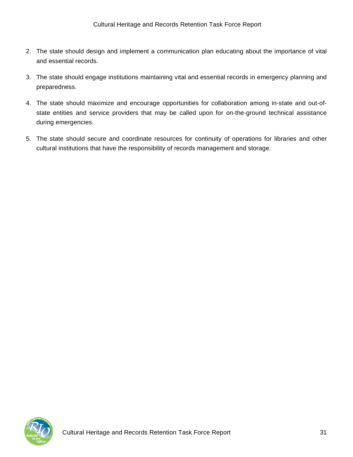- 2. The state should design and implement a communication plan educating about the importance of vital and essential records.
- 3. The state should engage institutions maintaining vital and essential records in emergency planning and preparedness.
- 4. The state should maximize and encourage opportunities for collaboration among in-state and out-ofstate entities and service providers that may be called upon for on-the-ground technical assistance during emergencies.
- 5. The state should secure and coordinate resources for continuity of operations for libraries and other cultural institutions that have the responsibility of records management and storage.

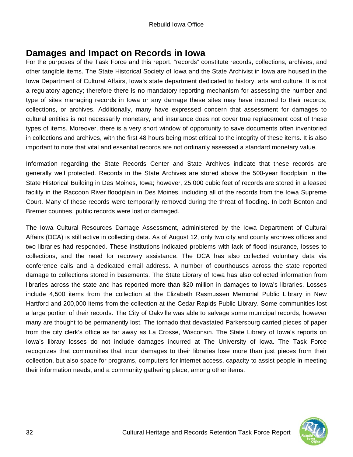### **Damages and Impact on Records in Iowa**

For the purposes of the Task Force and this report, "records" constitute records, collections, archives, and other tangible items. The State Historical Society of Iowa and the State Archivist in Iowa are housed in the Iowa Department of Cultural Affairs, Iowa's state department dedicated to history, arts and culture. It is not a regulatory agency; therefore there is no mandatory reporting mechanism for assessing the number and type of sites managing records in Iowa or any damage these sites may have incurred to their records, collections, or archives. Additionally, many have expressed concern that assessment for damages to cultural entities is not necessarily monetary, and insurance does not cover true replacement cost of these types of items. Moreover, there is a very short window of opportunity to save documents often inventoried in collections and archives, with the first 48 hours being most critical to the integrity of these items. It is also important to note that vital and essential records are not ordinarily assessed a standard monetary value.

Information regarding the State Records Center and State Archives indicate that these records are generally well protected. Records in the State Archives are stored above the 500-year floodplain in the State Historical Building in Des Moines, Iowa; however, 25,000 cubic feet of records are stored in a leased facility in the Raccoon River floodplain in Des Moines, including all of the records from the Iowa Supreme Court. Many of these records were temporarily removed during the threat of flooding. In both Benton and Bremer counties, public records were lost or damaged.

The Iowa Cultural Resources Damage Assessment, administered by the Iowa Department of Cultural Affairs (DCA) is still active in collecting data. As of August 12, only two city and county archives offices and two libraries had responded. These institutions indicated problems with lack of flood insurance, losses to collections, and the need for recovery assistance. The DCA has also collected voluntary data via conference calls and a dedicated email address. A number of courthouses across the state reported damage to collections stored in basements. The State Library of Iowa has also collected information from libraries across the state and has reported more than \$20 million in damages to Iowa's libraries. Losses include 4,500 items from the collection at the Elizabeth Rasmussen Memorial Public Library in New Hartford and 200,000 items from the collection at the Cedar Rapids Public Library. Some communities lost a large portion of their records. The City of Oakville was able to salvage some municipal records, however many are thought to be permanently lost. The tornado that devastated Parkersburg carried pieces of paper from the city clerk's office as far away as La Crosse, Wisconsin. The State Library of Iowa's reports on Iowa's library losses do not include damages incurred at The University of Iowa. The Task Force recognizes that communities that incur damages to their libraries lose more than just pieces from their collection, but also space for programs, computers for internet access, capacity to assist people in meeting their information needs, and a community gathering place, among other items.

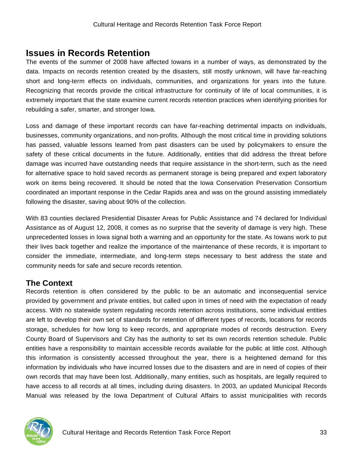### **Issues in Records Retention**

The events of the summer of 2008 have affected Iowans in a number of ways, as demonstrated by the data. Impacts on records retention created by the disasters, still mostly unknown, will have far-reaching short and long-term effects on individuals, communities, and organizations for years into the future. Recognizing that records provide the critical infrastructure for continuity of life of local communities, it is extremely important that the state examine current records retention practices when identifying priorities for rebuilding a safer, smarter, and stronger Iowa.

Loss and damage of these important records can have far-reaching detrimental impacts on individuals, businesses, community organizations, and non-profits. Although the most critical time in providing solutions has passed, valuable lessons learned from past disasters can be used by policymakers to ensure the safety of these critical documents in the future. Additionally, entities that did address the threat before damage was incurred have outstanding needs that require assistance in the short-term, such as the need for alternative space to hold saved records as permanent storage is being prepared and expert laboratory work on items being recovered. It should be noted that the Iowa Conservation Preservation Consortium coordinated an important response in the Cedar Rapids area and was on the ground assisting immediately following the disaster, saving about 90% of the collection.

With 83 counties declared Presidential Disaster Areas for Public Assistance and 74 declared for Individual Assistance as of August 12, 2008, it comes as no surprise that the severity of damage is very high. These unprecedented losses in Iowa signal both a warning and an opportunity for the state. As Iowans work to put their lives back together and realize the importance of the maintenance of these records, it is important to consider the immediate, intermediate, and long-term steps necessary to best address the state and community needs for safe and secure records retention.

### **The Context**

Records retention is often considered by the public to be an automatic and inconsequential service provided by government and private entities, but called upon in times of need with the expectation of ready access. With no statewide system regulating records retention across institutions, some individual entities are left to develop their own set of standards for retention of different types of records, locations for records storage, schedules for how long to keep records, and appropriate modes of records destruction. Every County Board of Supervisors and City has the authority to set its own records retention schedule. Public entities have a responsibility to maintain accessible records available for the public at little cost. Although this information is consistently accessed throughout the year, there is a heightened demand for this information by individuals who have incurred losses due to the disasters and are in need of copies of their own records that may have been lost. Additionally, many entities, such as hospitals, are legally required to have access to all records at all times, including during disasters. In 2003, an updated Municipal Records Manual was released by the Iowa Department of Cultural Affairs to assist municipalities with records

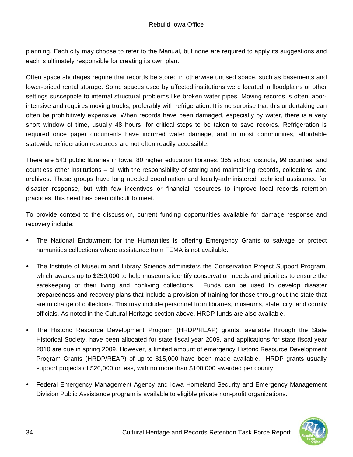planning. Each city may choose to refer to the Manual, but none are required to apply its suggestions and each is ultimately responsible for creating its own plan.

Often space shortages require that records be stored in otherwise unused space, such as basements and lower-priced rental storage. Some spaces used by affected institutions were located in floodplains or other settings susceptible to internal structural problems like broken water pipes. Moving records is often laborintensive and requires moving trucks, preferably with refrigeration. It is no surprise that this undertaking can often be prohibitively expensive. When records have been damaged, especially by water, there is a very short window of time, usually 48 hours, for critical steps to be taken to save records. Refrigeration is required once paper documents have incurred water damage, and in most communities, affordable statewide refrigeration resources are not often readily accessible.

There are 543 public libraries in Iowa, 80 higher education libraries, 365 school districts, 99 counties, and countless other institutions – all with the responsibility of storing and maintaining records, collections, and archives. These groups have long needed coordination and locally-administered technical assistance for disaster response, but with few incentives or financial resources to improve local records retention practices, this need has been difficult to meet.

To provide context to the discussion, current funding opportunities available for damage response and recovery include:

- The National Endowment for the Humanities is offering Emergency Grants to salvage or protect humanities collections where assistance from FEMA is not available.
- The Institute of Museum and Library Science administers the Conservation Project Support Program, which awards up to \$250,000 to help museums identify conservation needs and priorities to ensure the safekeeping of their living and nonliving collections. Funds can be used to develop disaster preparedness and recovery plans that include a provision of training for those throughout the state that are in charge of collections. This may include personnel from libraries, museums, state, city, and county officials. As noted in the Cultural Heritage section above, HRDP funds are also available.
- The Historic Resource Development Program (HRDP/REAP) grants, available through the State Historical Society, have been allocated for state fiscal year 2009, and applications for state fiscal year 2010 are due in spring 2009. However, a limited amount of emergency Historic Resource Development Program Grants (HRDP/REAP) of up to \$15,000 have been made available. HRDP grants usually support projects of \$20,000 or less, with no more than \$100,000 awarded per county.
- Federal Emergency Management Agency and Iowa Homeland Security and Emergency Management Division Public Assistance program is available to eligible private non-profit organizations.

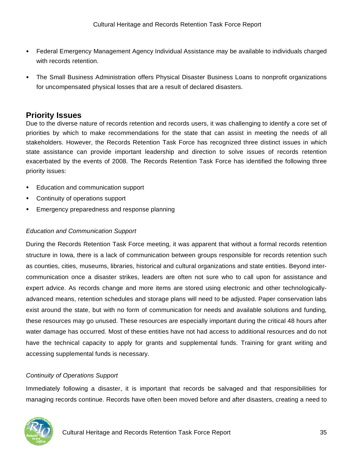- Federal Emergency Management Agency Individual Assistance may be available to individuals charged with records retention.
- The Small Business Administration offers Physical Disaster Business Loans to nonprofit organizations for uncompensated physical losses that are a result of declared disasters.

### **Priority Issues**

Due to the diverse nature of records retention and records users, it was challenging to identify a core set of priorities by which to make recommendations for the state that can assist in meeting the needs of all stakeholders. However, the Records Retention Task Force has recognized three distinct issues in which state assistance can provide important leadership and direction to solve issues of records retention exacerbated by the events of 2008. The Records Retention Task Force has identified the following three priority issues:

- Education and communication support
- Continuity of operations support
- Emergency preparedness and response planning

#### *Education and Communication Support*

During the Records Retention Task Force meeting, it was apparent that without a formal records retention structure in Iowa, there is a lack of communication between groups responsible for records retention such as counties, cities, museums, libraries, historical and cultural organizations and state entities. Beyond intercommunication once a disaster strikes, leaders are often not sure who to call upon for assistance and expert advice. As records change and more items are stored using electronic and other technologicallyadvanced means, retention schedules and storage plans will need to be adjusted. Paper conservation labs exist around the state, but with no form of communication for needs and available solutions and funding, these resources may go unused. These resources are especially important during the critical 48 hours after water damage has occurred. Most of these entities have not had access to additional resources and do not have the technical capacity to apply for grants and supplemental funds. Training for grant writing and accessing supplemental funds is necessary.

#### *Continuity of Operations Support*

Immediately following a disaster, it is important that records be salvaged and that responsibilities for managing records continue. Records have often been moved before and after disasters, creating a need to

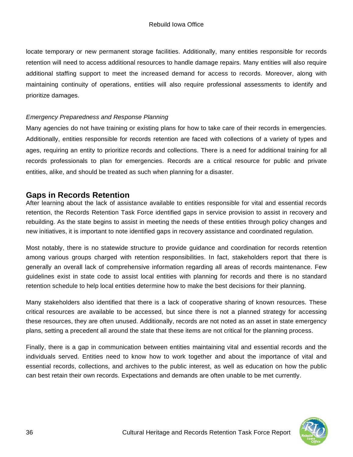locate temporary or new permanent storage facilities. Additionally, many entities responsible for records retention will need to access additional resources to handle damage repairs. Many entities will also require additional staffing support to meet the increased demand for access to records. Moreover, along with maintaining continuity of operations, entities will also require professional assessments to identify and prioritize damages.

#### *Emergency Preparedness and Response Planning*

Many agencies do not have training or existing plans for how to take care of their records in emergencies. Additionally, entities responsible for records retention are faced with collections of a variety of types and ages, requiring an entity to prioritize records and collections. There is a need for additional training for all records professionals to plan for emergencies. Records are a critical resource for public and private entities, alike, and should be treated as such when planning for a disaster.

#### **Gaps in Records Retention**

After learning about the lack of assistance available to entities responsible for vital and essential records retention, the Records Retention Task Force identified gaps in service provision to assist in recovery and rebuilding. As the state begins to assist in meeting the needs of these entities through policy changes and new initiatives, it is important to note identified gaps in recovery assistance and coordinated regulation.

Most notably, there is no statewide structure to provide guidance and coordination for records retention among various groups charged with retention responsibilities. In fact, stakeholders report that there is generally an overall lack of comprehensive information regarding all areas of records maintenance. Few guidelines exist in state code to assist local entities with planning for records and there is no standard retention schedule to help local entities determine how to make the best decisions for their planning.

Many stakeholders also identified that there is a lack of cooperative sharing of known resources. These critical resources are available to be accessed, but since there is not a planned strategy for accessing these resources, they are often unused. Additionally, records are not noted as an asset in state emergency plans, setting a precedent all around the state that these items are not critical for the planning process.

Finally, there is a gap in communication between entities maintaining vital and essential records and the individuals served. Entities need to know how to work together and about the importance of vital and essential records, collections, and archives to the public interest, as well as education on how the public can best retain their own records. Expectations and demands are often unable to be met currently.

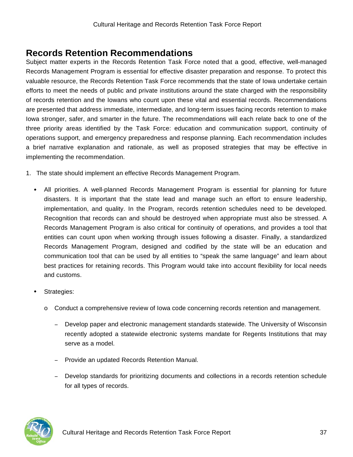## **Records Retention Recommendations**

Subject matter experts in the Records Retention Task Force noted that a good, effective, well-managed Records Management Program is essential for effective disaster preparation and response. To protect this valuable resource, the Records Retention Task Force recommends that the state of Iowa undertake certain efforts to meet the needs of public and private institutions around the state charged with the responsibility of records retention and the Iowans who count upon these vital and essential records. Recommendations are presented that address immediate, intermediate, and long-term issues facing records retention to make Iowa stronger, safer, and smarter in the future. The recommendations will each relate back to one of the three priority areas identified by the Task Force: education and communication support, continuity of operations support, and emergency preparedness and response planning. Each recommendation includes a brief narrative explanation and rationale, as well as proposed strategies that may be effective in implementing the recommendation.

- 1. The state should implement an effective Records Management Program.
	- All priorities. A well-planned Records Management Program is essential for planning for future disasters. It is important that the state lead and manage such an effort to ensure leadership, implementation, and quality. In the Program, records retention schedules need to be developed. Recognition that records can and should be destroyed when appropriate must also be stressed. A Records Management Program is also critical for continuity of operations, and provides a tool that entities can count upon when working through issues following a disaster. Finally, a standardized Records Management Program, designed and codified by the state will be an education and communication tool that can be used by all entities to "speak the same language" and learn about best practices for retaining records. This Program would take into account flexibility for local needs and customs.
	- Strategies:
		- o Conduct a comprehensive review of Iowa code concerning records retention and management.
			- Develop paper and electronic management standards statewide. The University of Wisconsin recently adopted a statewide electronic systems mandate for Regents Institutions that may serve as a model.
			- Provide an updated Records Retention Manual.
			- Develop standards for prioritizing documents and collections in a records retention schedule for all types of records.

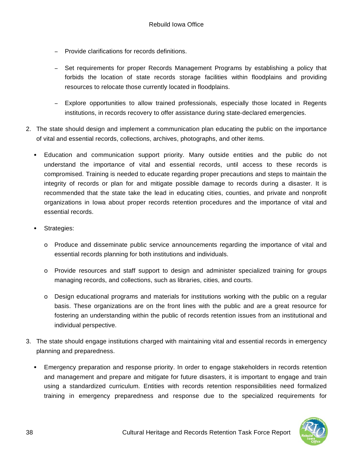- Provide clarifications for records definitions.
- Set requirements for proper Records Management Programs by establishing a policy that forbids the location of state records storage facilities within floodplains and providing resources to relocate those currently located in floodplains.
- Explore opportunities to allow trained professionals, especially those located in Regents institutions, in records recovery to offer assistance during state-declared emergencies.
- 2. The state should design and implement a communication plan educating the public on the importance of vital and essential records, collections, archives, photographs, and other items.
	- Education and communication support priority. Many outside entities and the public do not understand the importance of vital and essential records, until access to these records is compromised. Training is needed to educate regarding proper precautions and steps to maintain the integrity of records or plan for and mitigate possible damage to records during a disaster. It is recommended that the state take the lead in educating cities, counties, and private and nonprofit organizations in Iowa about proper records retention procedures and the importance of vital and essential records.
	- Strategies:
		- o Produce and disseminate public service announcements regarding the importance of vital and essential records planning for both institutions and individuals.
		- o Provide resources and staff support to design and administer specialized training for groups managing records, and collections, such as libraries, cities, and courts.
		- $\circ$  Design educational programs and materials for institutions working with the public on a regular basis. These organizations are on the front lines with the public and are a great resource for fostering an understanding within the public of records retention issues from an institutional and individual perspective.
- 3. The state should engage institutions charged with maintaining vital and essential records in emergency planning and preparedness.
	- Emergency preparation and response priority. In order to engage stakeholders in records retention and management and prepare and mitigate for future disasters, it is important to engage and train using a standardized curriculum. Entities with records retention responsibilities need formalized training in emergency preparedness and response due to the specialized requirements for

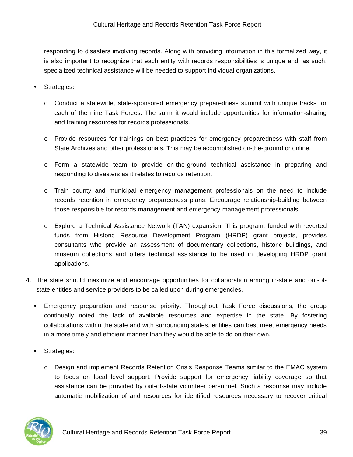responding to disasters involving records. Along with providing information in this formalized way, it is also important to recognize that each entity with records responsibilities is unique and, as such, specialized technical assistance will be needed to support individual organizations.

- Strategies:
	- o Conduct a statewide, state-sponsored emergency preparedness summit with unique tracks for each of the nine Task Forces. The summit would include opportunities for information-sharing and training resources for records professionals.
	- o Provide resources for trainings on best practices for emergency preparedness with staff from State Archives and other professionals. This may be accomplished on-the-ground or online.
	- o Form a statewide team to provide on-the-ground technical assistance in preparing and responding to disasters as it relates to records retention.
	- o Train county and municipal emergency management professionals on the need to include records retention in emergency preparedness plans. Encourage relationship-building between those responsible for records management and emergency management professionals.
	- o Explore a Technical Assistance Network (TAN) expansion. This program, funded with reverted funds from Historic Resource Development Program (HRDP) grant projects, provides consultants who provide an assessment of documentary collections, historic buildings, and museum collections and offers technical assistance to be used in developing HRDP grant applications.
- 4. The state should maximize and encourage opportunities for collaboration among in-state and out-ofstate entities and service providers to be called upon during emergencies.
	- Emergency preparation and response priority. Throughout Task Force discussions, the group continually noted the lack of available resources and expertise in the state. By fostering collaborations within the state and with surrounding states, entities can best meet emergency needs in a more timely and efficient manner than they would be able to do on their own.
	- Strategies:
		- o Design and implement Records Retention Crisis Response Teams similar to the EMAC system to focus on local level support. Provide support for emergency liability coverage so that assistance can be provided by out-of-state volunteer personnel. Such a response may include automatic mobilization of and resources for identified resources necessary to recover critical

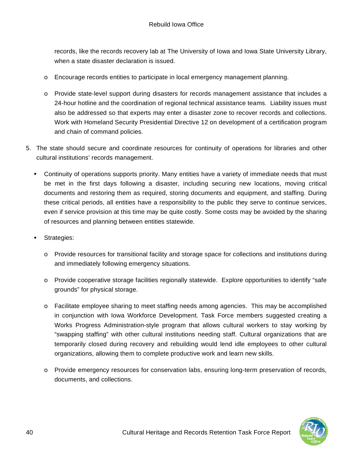records, like the records recovery lab at The University of Iowa and Iowa State University Library, when a state disaster declaration is issued.

- o Encourage records entities to participate in local emergency management planning.
- o Provide state-level support during disasters for records management assistance that includes a 24-hour hotline and the coordination of regional technical assistance teams. Liability issues must also be addressed so that experts may enter a disaster zone to recover records and collections. Work with Homeland Security Presidential Directive 12 on development of a certification program and chain of command policies.
- 5. The state should secure and coordinate resources for continuity of operations for libraries and other cultural institutions' records management.
	- Continuity of operations supports priority. Many entities have a variety of immediate needs that must be met in the first days following a disaster, including securing new locations, moving critical documents and restoring them as required, storing documents and equipment, and staffing. During these critical periods, all entities have a responsibility to the public they serve to continue services, even if service provision at this time may be quite costly. Some costs may be avoided by the sharing of resources and planning between entities statewide.
	- Strategies:
		- o Provide resources for transitional facility and storage space for collections and institutions during and immediately following emergency situations.
		- o Provide cooperative storage facilities regionally statewide. Explore opportunities to identify "safe grounds" for physical storage.
		- $\circ$  Facilitate employee sharing to meet staffing needs among agencies. This may be accomplished in conjunction with Iowa Workforce Development. Task Force members suggested creating a Works Progress Administration-style program that allows cultural workers to stay working by "swapping staffing" with other cultural institutions needing staff. Cultural organizations that are temporarily closed during recovery and rebuilding would lend idle employees to other cultural organizations, allowing them to complete productive work and learn new skills.
		- o Provide emergency resources for conservation labs, ensuring long-term preservation of records, documents, and collections.

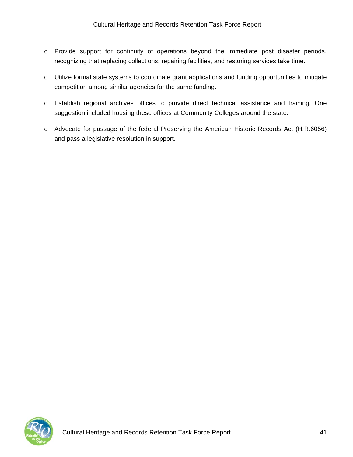- o Provide support for continuity of operations beyond the immediate post disaster periods, recognizing that replacing collections, repairing facilities, and restoring services take time.
- o Utilize formal state systems to coordinate grant applications and funding opportunities to mitigate competition among similar agencies for the same funding.
- o Establish regional archives offices to provide direct technical assistance and training. One suggestion included housing these offices at Community Colleges around the state.
- o Advocate for passage of the federal Preserving the American Historic Records Act (H.R.6056) and pass a legislative resolution in support.